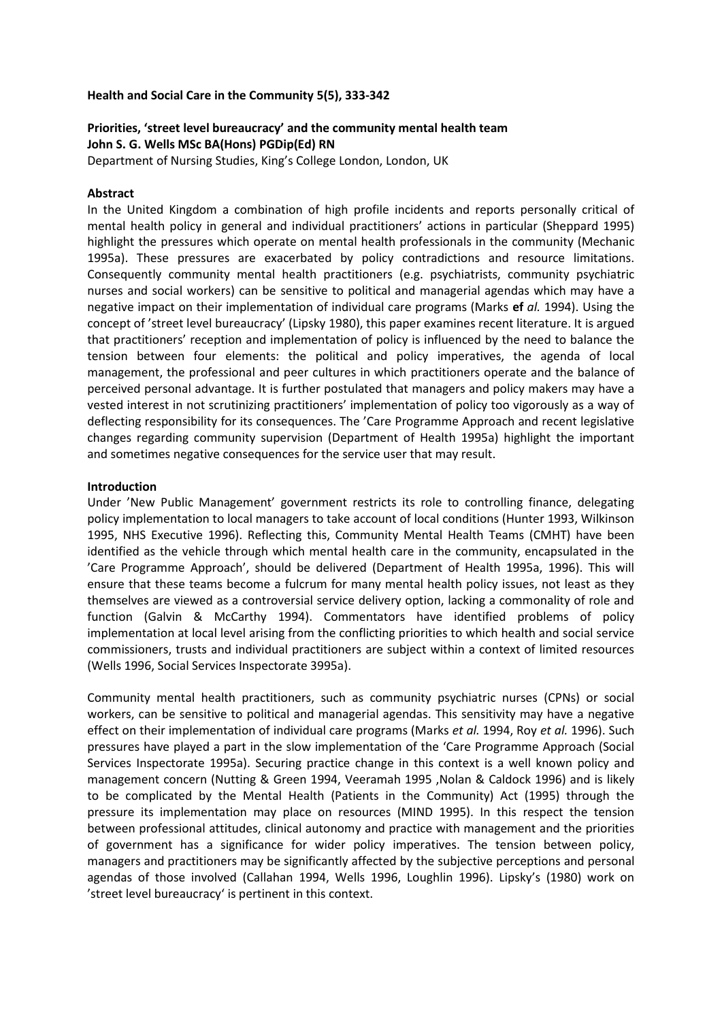## **Health and Social Care in the Community 5(5), 333-342**

# **Priorities, 'street level bureaucracy' and the community mental health team John S. G. Wells MSc BA(Hons) PGDip(Ed) RN**

Department of Nursing Studies, King's College London, London, UK

## **Abstract**

In the United Kingdom a combination of high profile incidents and reports personally critical of mental health policy in general and individual practitioners' actions in particular (Sheppard 1995) highlight the pressures which operate on mental health professionals in the community (Mechanic 1995a). These pressures are exacerbated by policy contradictions and resource limitations. Consequently community mental health practitioners (e.g. psychiatrists, community psychiatric nurses and social workers) can be sensitive to political and managerial agendas which may have a negative impact on their implementation of individual care programs (Marks **ef** *al.* 1994). Using the concept of 'street level bureaucracy' (Lipsky 1980), this paper examines recent literature. It is argued that practitioners' reception and implementation of policy is influenced by the need to balance the tension between four elements: the political and policy imperatives, the agenda of local management, the professional and peer cultures in which practitioners operate and the balance of perceived personal advantage. It is further postulated that managers and policy makers may have a vested interest in not scrutinizing practitioners' implementation of policy too vigorously as a way of deflecting responsibility for its consequences. The 'Care Programme Approach and recent legislative changes regarding community supervision (Department of Health 1995a) highlight the important and sometimes negative consequences for the service user that may result.

## **Introduction**

Under 'New Public Management' government restricts its role to controlling finance, delegating policy implementation to local managers to take account of local conditions (Hunter 1993, Wilkinson 1995, NHS Executive 1996). Reflecting this, Community Mental Health Teams (CMHT) have been identified as the vehicle through which mental health care in the community, encapsulated in the 'Care Programme Approach', should be delivered (Department of Health 1995a, 1996). This will ensure that these teams become a fulcrum for many mental health policy issues, not least as they themselves are viewed as a controversial service delivery option, lacking a commonality of role and function (Galvin & McCarthy 1994). Commentators have identified problems of policy implementation at local level arising from the conflicting priorities to which health and social service commissioners, trusts and individual practitioners are subject within a context of limited resources (Wells 1996, Social Services Inspectorate 3995a).

Community mental health practitioners, such as community psychiatric nurses (CPNs) or social workers, can be sensitive to political and managerial agendas. This sensitivity may have a negative effect on their implementation of individual care programs (Marks *et al.* 1994, Roy *et al.* 1996). Such pressures have played a part in the slow implementation of the 'Care Programme Approach (Social Services Inspectorate 1995a). Securing practice change in this context is a well known policy and management concern (Nutting & Green 1994, Veeramah 1995 ,Nolan & Caldock 1996) and is likely to be complicated by the Mental Health (Patients in the Community) Act (1995) through the pressure its implementation may place on resources (MIND 1995). In this respect the tension between professional attitudes, clinical autonomy and practice with management and the priorities of government has a significance for wider policy imperatives. The tension between policy, managers and practitioners may be significantly affected by the subjective perceptions and personal agendas of those involved (Callahan 1994, Wells 1996, Loughlin 1996). Lipsky's (1980) work on 'street level bureaucracy' is pertinent in this context.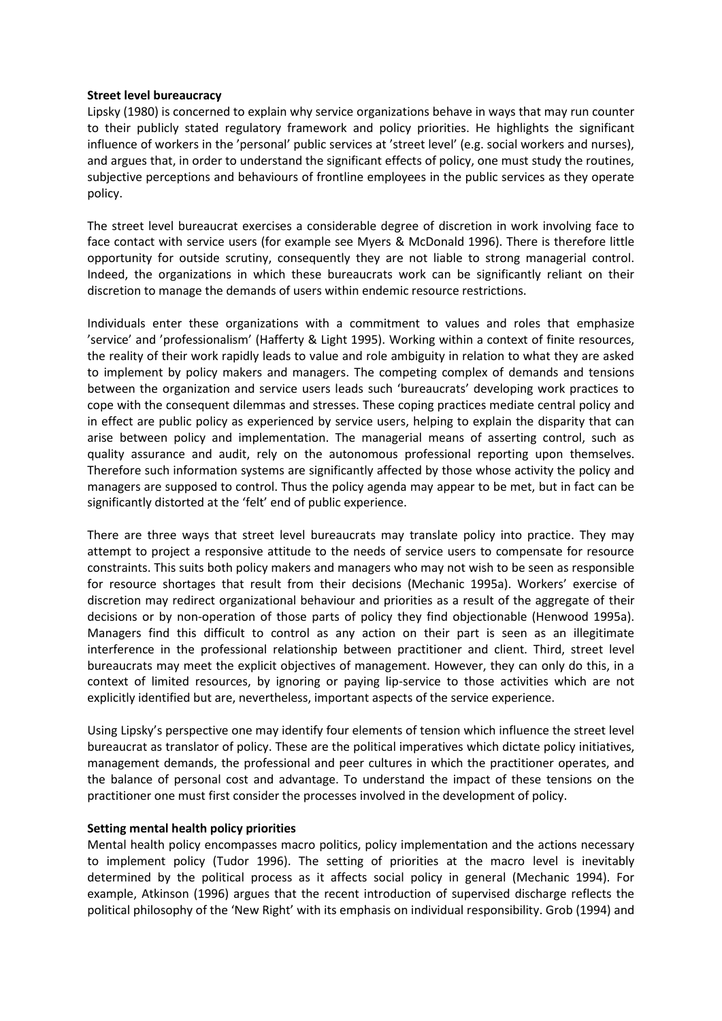## **Street level bureaucracy**

Lipsky (1980) is concerned to explain why service organizations behave in ways that may run counter to their publicly stated regulatory framework and policy priorities. He highlights the significant influence of workers in the 'personal' public services at 'street level' (e.g. social workers and nurses), and argues that, in order to understand the significant effects of policy, one must study the routines, subjective perceptions and behaviours of frontline employees in the public services as they operate policy.

The street level bureaucrat exercises a considerable degree of discretion in work involving face to face contact with service users (for example see Myers & McDonald 1996). There is therefore little opportunity for outside scrutiny, consequently they are not liable to strong managerial control. Indeed, the organizations in which these bureaucrats work can be significantly reliant on their discretion to manage the demands of users within endemic resource restrictions.

Individuals enter these organizations with a commitment to values and roles that emphasize 'service' and 'professionalism' (Hafferty & Light 1995). Working within a context of finite resources, the reality of their work rapidly leads to value and role ambiguity in relation to what they are asked to implement by policy makers and managers. The competing complex of demands and tensions between the organization and service users leads such 'bureaucrats' developing work practices to cope with the consequent dilemmas and stresses. These coping practices mediate central policy and in effect are public policy as experienced by service users, helping to explain the disparity that can arise between policy and implementation. The managerial means of asserting control, such as quality assurance and audit, rely on the autonomous professional reporting upon themselves. Therefore such information systems are significantly affected by those whose activity the policy and managers are supposed to control. Thus the policy agenda may appear to be met, but in fact can be significantly distorted at the 'felt' end of public experience.

There are three ways that street level bureaucrats may translate policy into practice. They may attempt to project a responsive attitude to the needs of service users to compensate for resource constraints. This suits both policy makers and managers who may not wish to be seen as responsible for resource shortages that result from their decisions (Mechanic 1995a). Workers' exercise of discretion may redirect organizational behaviour and priorities as a result of the aggregate of their decisions or by non-operation of those parts of policy they find objectionable (Henwood 1995a). Managers find this difficult to control as any action on their part is seen as an illegitimate interference in the professional relationship between practitioner and client. Third, street level bureaucrats may meet the explicit objectives of management. However, they can only do this, in a context of limited resources, by ignoring or paying lip-service to those activities which are not explicitly identified but are, nevertheless, important aspects of the service experience.

Using Lipsky's perspective one may identify four elements of tension which influence the street level bureaucrat as translator of policy. These are the political imperatives which dictate policy initiatives, management demands, the professional and peer cultures in which the practitioner operates, and the balance of personal cost and advantage. To understand the impact of these tensions on the practitioner one must first consider the processes involved in the development of policy.

# **Setting mental health policy priorities**

Mental health policy encompasses macro politics, policy implementation and the actions necessary to implement policy (Tudor 1996). The setting of priorities at the macro level is inevitably determined by the political process as it affects social policy in general (Mechanic 1994). For example, Atkinson (1996) argues that the recent introduction of supervised discharge reflects the political philosophy of the 'New Right' with its emphasis on individual responsibility. Grob (1994) and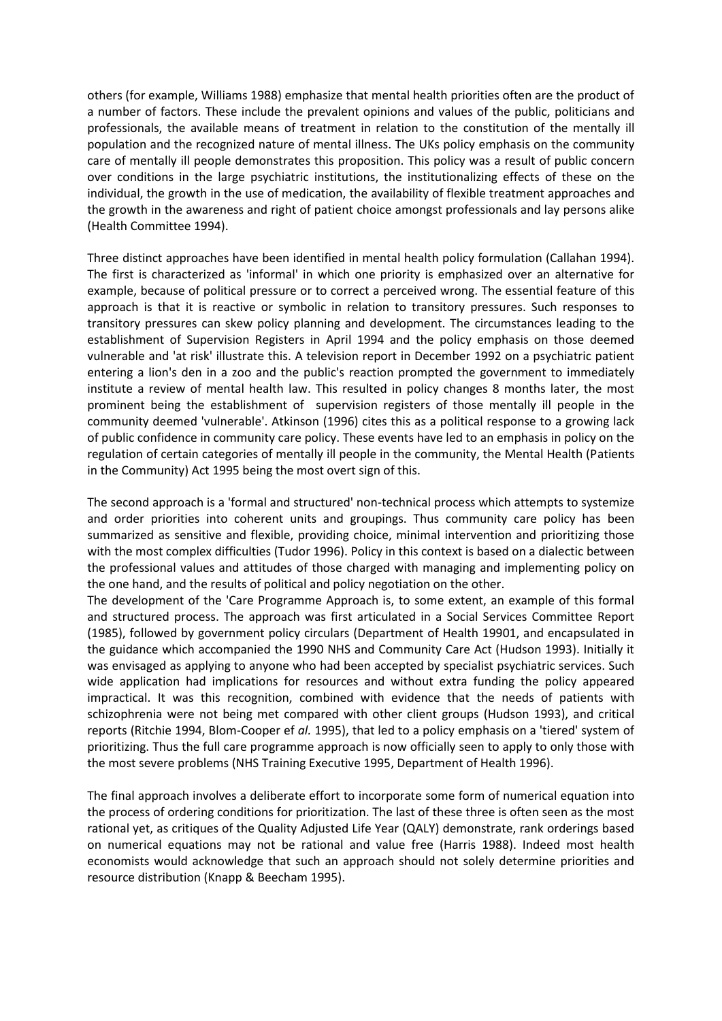others (for example, Williams 1988) emphasize that mental health priorities often are the product of a number of factors. These include the prevalent opinions and values of the public, politicians and professionals, the available means of treatment in relation to the constitution of the mentally ill population and the recognized nature of mental illness. The UKs policy emphasis on the community care of mentally ill people demonstrates this proposition. This policy was a result of public concern over conditions in the large psychiatric institutions, the institutionalizing effects of these on the individual, the growth in the use of medication, the availability of flexible treatment approaches and the growth in the awareness and right of patient choice amongst professionals and lay persons alike (Health Committee 1994).

Three distinct approaches have been identified in mental health policy formulation (Callahan 1994). The first is characterized as 'informal' in which one priority is emphasized over an alternative for example, because of political pressure or to correct a perceived wrong. The essential feature of this approach is that it is reactive or symbolic in relation to transitory pressures. Such responses to transitory pressures can skew policy planning and development. The circumstances leading to the establishment of Supervision Registers in April 1994 and the policy emphasis on those deemed vulnerable and 'at risk' illustrate this. A television report in December 1992 on a psychiatric patient entering a lion's den in a zoo and the public's reaction prompted the government to immediately institute a review of mental health law. This resulted in policy changes 8 months later, the most prominent being the establishment of supervision registers of those mentally ill people in the community deemed 'vulnerable'. Atkinson (1996) cites this as a political response to a growing lack of public confidence in community care policy. These events have led to an emphasis in policy on the regulation of certain categories of mentally ill people in the community, the Mental Health (Patients in the Community) Act 1995 being the most overt sign of this.

The second approach is a 'formal and structured' non-technical process which attempts to systemize and order priorities into coherent units and groupings. Thus community care policy has been summarized as sensitive and flexible, providing choice, minimal intervention and prioritizing those with the most complex difficulties (Tudor 1996). Policy in this context is based on a dialectic between the professional values and attitudes of those charged with managing and implementing policy on the one hand, and the results of political and policy negotiation on the other.

The development of the 'Care Programme Approach is, to some extent, an example of this formal and structured process. The approach was first articulated in a Social Services Committee Report (1985), followed by government policy circulars (Department of Health 19901, and encapsulated in the guidance which accompanied the 1990 NHS and Community Care Act (Hudson 1993). Initially it was envisaged as applying to anyone who had been accepted by specialist psychiatric services. Such wide application had implications for resources and without extra funding the policy appeared impractical. It was this recognition, combined with evidence that the needs of patients with schizophrenia were not being met compared with other client groups (Hudson 1993), and critical reports (Ritchie 1994, Blom-Cooper ef *al.* 1995), that led to a policy emphasis on a 'tiered' system of prioritizing. Thus the full care programme approach is now officially seen to apply to only those with the most severe problems (NHS Training Executive 1995, Department of Health 1996).

The final approach involves a deliberate effort to incorporate some form of numerical equation into the process of ordering conditions for prioritization. The last of these three is often seen as the most rational yet, as critiques of the Quality Adjusted Life Year (QALY) demonstrate, rank orderings based on numerical equations may not be rational and value free (Harris 1988). Indeed most health economists would acknowledge that such an approach should not solely determine priorities and resource distribution (Knapp & Beecham 1995).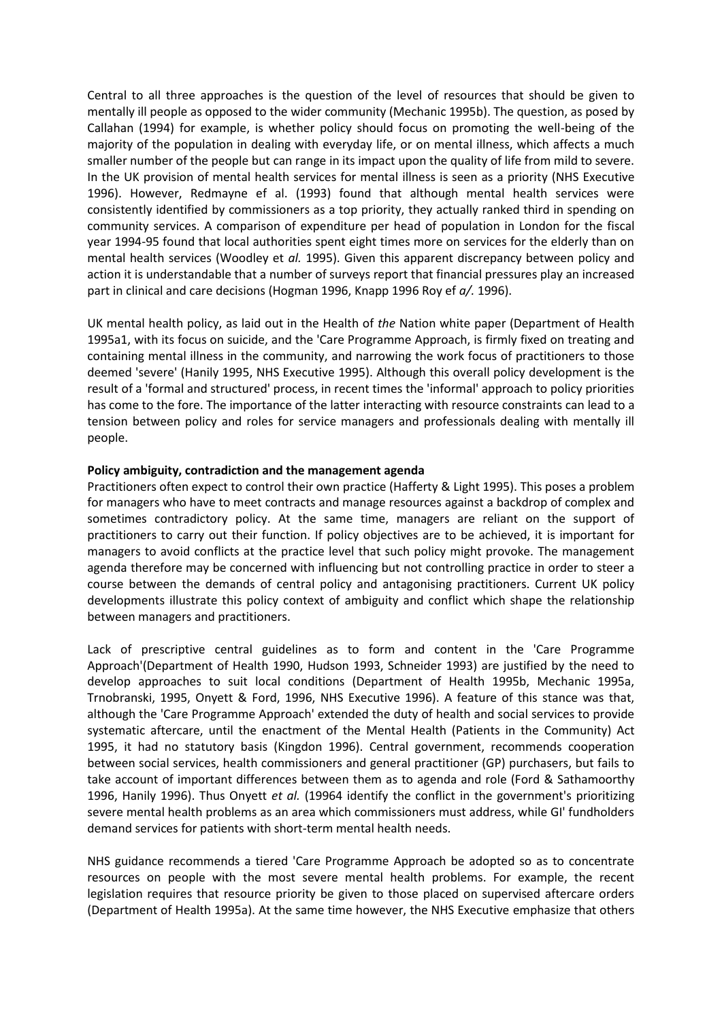Central to all three approaches is the question of the level of resources that should be given to mentally ill people as opposed to the wider community (Mechanic 1995b). The question, as posed by Callahan (1994) for example, is whether policy should focus on promoting the well-being of the majority of the population in dealing with everyday life, or on mental illness, which affects a much smaller number of the people but can range in its impact upon the quality of life from mild to severe. In the UK provision of mental health services for mental illness is seen as a priority (NHS Executive 1996). However, Redmayne ef al. (1993) found that although mental health services were consistently identified by commissioners as a top priority, they actually ranked third in spending on community services. A comparison of expenditure per head of population in London for the fiscal year 1994-95 found that local authorities spent eight times more on services for the elderly than on mental health services (Woodley et *al.* 1995). Given this apparent discrepancy between policy and action it is understandable that a number of surveys report that financial pressures play an increased part in clinical and care decisions (Hogman 1996, Knapp 1996 Roy ef *a/.* 1996).

UK mental health policy, as laid out in the Health of *the* Nation white paper (Department of Health 1995a1, with its focus on suicide, and the 'Care Programme Approach, is firmly fixed on treating and containing mental illness in the community, and narrowing the work focus of practitioners to those deemed 'severe' (Hanily 1995, NHS Executive 1995). Although this overall policy development is the result of a 'formal and structured' process, in recent times the 'informal' approach to policy priorities has come to the fore. The importance of the latter interacting with resource constraints can lead to a tension between policy and roles for service managers and professionals dealing with mentally ill people.

# **Policy ambiguity, contradiction and the management agenda**

Practitioners often expect to control their own practice (Hafferty & Light 1995). This poses a problem for managers who have to meet contracts and manage resources against a backdrop of complex and sometimes contradictory policy. At the same time, managers are reliant on the support of practitioners to carry out their function. If policy objectives are to be achieved, it is important for managers to avoid conflicts at the practice level that such policy might provoke. The management agenda therefore may be concerned with influencing but not controlling practice in order to steer a course between the demands of central policy and antagonising practitioners. Current UK policy developments illustrate this policy context of ambiguity and conflict which shape the relationship between managers and practitioners.

Lack of prescriptive central guidelines as to form and content in the 'Care Programme Approach'(Department of Health 1990, Hudson 1993, Schneider 1993) are justified by the need to develop approaches to suit local conditions (Department of Health 1995b, Mechanic 1995a, Trnobranski, 1995, Onyett & Ford, 1996, NHS Executive 1996). A feature of this stance was that, although the 'Care Programme Approach' extended the duty of health and social services to provide systematic aftercare, until the enactment of the Mental Health (Patients in the Community) Act 1995, it had no statutory basis (Kingdon 1996). Central government, recommends cooperation between social services, health commissioners and general practitioner (GP) purchasers, but fails to take account of important differences between them as to agenda and role (Ford & Sathamoorthy 1996, Hanily 1996). Thus Onyett *et al.* (19964 identify the conflict in the government's prioritizing severe mental health problems as an area which commissioners must address, while GI' fundholders demand services for patients with short-term mental health needs.

NHS guidance recommends a tiered 'Care Programme Approach be adopted so as to concentrate resources on people with the most severe mental health problems. For example, the recent legislation requires that resource priority be given to those placed on supervised aftercare orders (Department of Health 1995a). At the same time however, the NHS Executive emphasize that others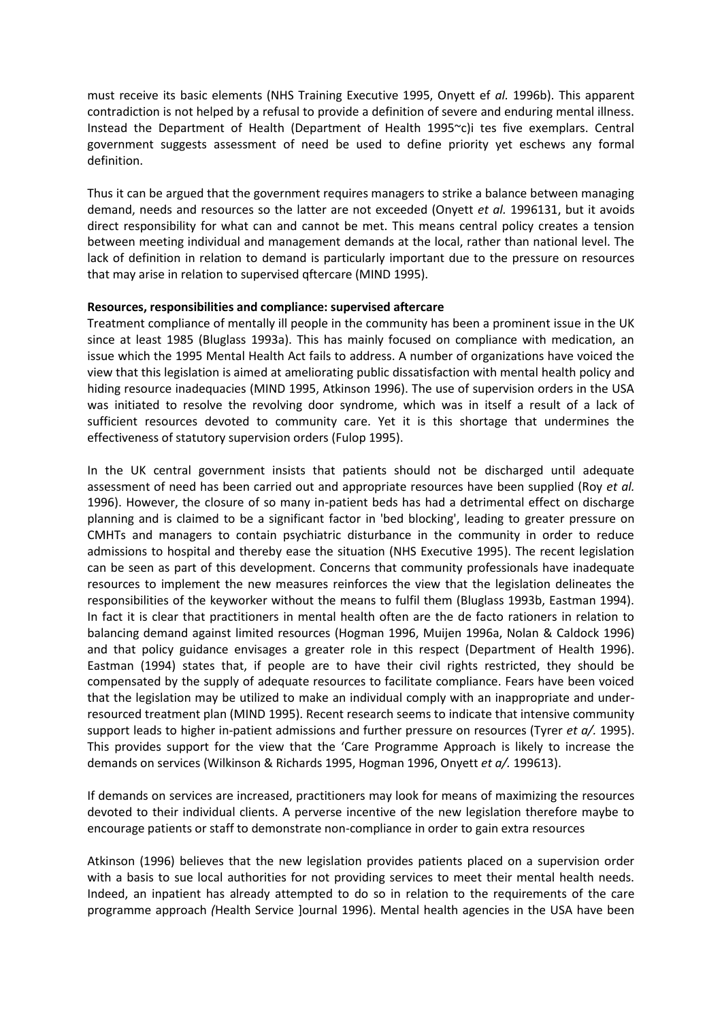must receive its basic elements (NHS Training Executive 1995, Onyett ef *al.* 1996b). This apparent contradiction is not helped by a refusal to provide a definition of severe and enduring mental illness. Instead the Department of Health (Department of Health 1995~c)i tes five exemplars. Central government suggests assessment of need be used to define priority yet eschews any formal definition.

Thus it can be argued that the government requires managers to strike a balance between managing demand, needs and resources so the latter are not exceeded (Onyett *et al.* 1996131, but it avoids direct responsibility for what can and cannot be met. This means central policy creates a tension between meeting individual and management demands at the local, rather than national level. The lack of definition in relation to demand is particularly important due to the pressure on resources that may arise in relation to supervised qftercare (MIND 1995).

## **Resources, responsibilities and compliance: supervised aftercare**

Treatment compliance of mentally ill people in the community has been a prominent issue in the UK since at least 1985 (Bluglass 1993a). This has mainly focused on compliance with medication, an issue which the 1995 Mental Health Act fails to address. A number of organizations have voiced the view that this legislation is aimed at ameliorating public dissatisfaction with mental health policy and hiding resource inadequacies (MIND 1995, Atkinson 1996). The use of supervision orders in the USA was initiated to resolve the revolving door syndrome, which was in itself a result of a lack of sufficient resources devoted to community care. Yet it is this shortage that undermines the effectiveness of statutory supervision orders (Fulop 1995).

In the UK central government insists that patients should not be discharged until adequate assessment of need has been carried out and appropriate resources have been supplied (Roy *et al.*  1996). However, the closure of so many in-patient beds has had a detrimental effect on discharge planning and is claimed to be a significant factor in 'bed blocking', leading to greater pressure on CMHTs and managers to contain psychiatric disturbance in the community in order to reduce admissions to hospital and thereby ease the situation (NHS Executive 1995). The recent legislation can be seen as part of this development. Concerns that community professionals have inadequate resources to implement the new measures reinforces the view that the legislation delineates the responsibilities of the keyworker without the means to fulfil them (Bluglass 1993b, Eastman 1994). In fact it is clear that practitioners in mental health often are the de facto rationers in relation to balancing demand against limited resources (Hogman 1996, Muijen 1996a, Nolan & Caldock 1996) and that policy guidance envisages a greater role in this respect (Department of Health 1996). Eastman (1994) states that, if people are to have their civil rights restricted, they should be compensated by the supply of adequate resources to facilitate compliance. Fears have been voiced that the legislation may be utilized to make an individual comply with an inappropriate and underresourced treatment plan (MIND 1995). Recent research seems to indicate that intensive community support leads to higher in-patient admissions and further pressure on resources (Tyrer *et a/.* 1995). This provides support for the view that the 'Care Programme Approach is likely to increase the demands on services (Wilkinson & Richards 1995, Hogman 1996, Onyett *et a/.* 199613).

If demands on services are increased, practitioners may look for means of maximizing the resources devoted to their individual clients. A perverse incentive of the new legislation therefore maybe to encourage patients or staff to demonstrate non-compliance in order to gain extra resources

Atkinson (1996) believes that the new legislation provides patients placed on a supervision order with a basis to sue local authorities for not providing services to meet their mental health needs. Indeed, an inpatient has already attempted to do so in relation to the requirements of the care programme approach *(*Health Service ]ournal 1996). Mental health agencies in the USA have been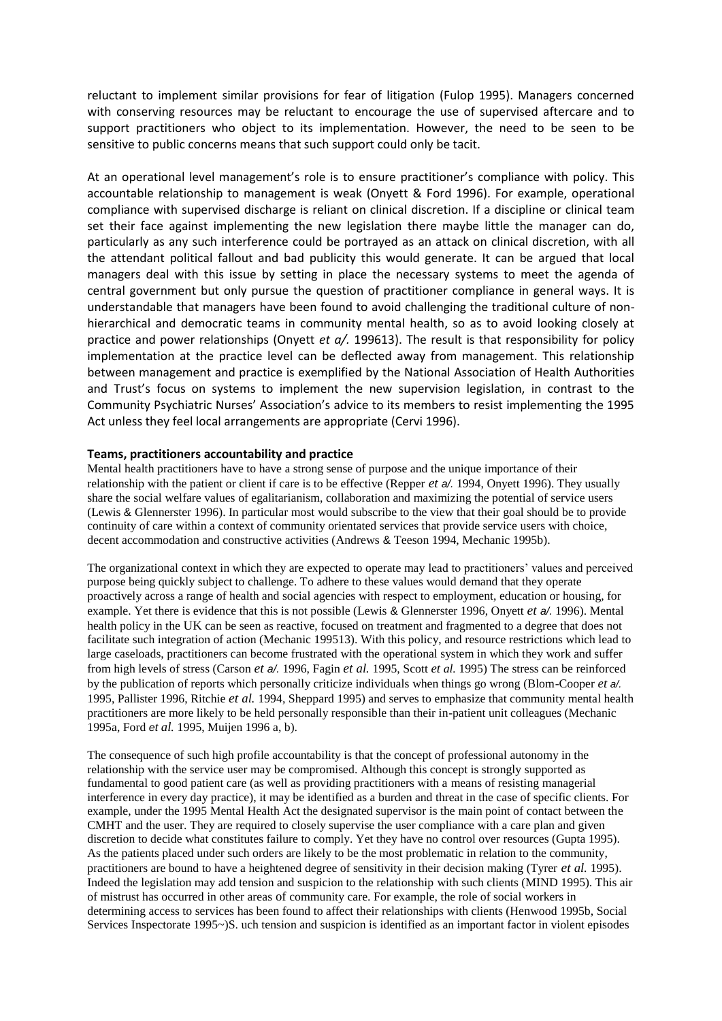reluctant to implement similar provisions for fear of litigation (Fulop 1995). Managers concerned with conserving resources may be reluctant to encourage the use of supervised aftercare and to support practitioners who object to its implementation. However, the need to be seen to be sensitive to public concerns means that such support could only be tacit.

At an operational level management's role is to ensure practitioner's compliance with policy. This accountable relationship to management is weak (Onyett & Ford 1996). For example, operational compliance with supervised discharge is reliant on clinical discretion. If a discipline or clinical team set their face against implementing the new legislation there maybe little the manager can do, particularly as any such interference could be portrayed as an attack on clinical discretion, with all the attendant political fallout and bad publicity this would generate. It can be argued that local managers deal with this issue by setting in place the necessary systems to meet the agenda of central government but only pursue the question of practitioner compliance in general ways. It is understandable that managers have been found to avoid challenging the traditional culture of nonhierarchical and democratic teams in community mental health, so as to avoid looking closely at practice and power relationships (Onyett *et a/.* 199613). The result is that responsibility for policy implementation at the practice level can be deflected away from management. This relationship between management and practice is exemplified by the National Association of Health Authorities and Trust's focus on systems to implement the new supervision legislation, in contrast to the Community Psychiatric Nurses' Association's advice to its members to resist implementing the 1995 Act unless they feel local arrangements are appropriate (Cervi 1996).

#### **Teams, practitioners accountability and practice**

Mental health practitioners have to have a strong sense of purpose and the unique importance of their relationship with the patient or client if care is to be effective (Repper *et a/.* 1994, Onyett 1996). They usually share the social welfare values of egalitarianism, collaboration and maximizing the potential of service users (Lewis & Glennerster 1996). In particular most would subscribe to the view that their goal should be to provide continuity of care within a context of community orientated services that provide service users with choice, decent accommodation and constructive activities (Andrews & Teeson 1994, Mechanic 1995b).

The organizational context in which they are expected to operate may lead to practitioners' values and perceived purpose being quickly subject to challenge. To adhere to these values would demand that they operate proactively across a range of health and social agencies with respect to employment, education or housing, for example. Yet there is evidence that this is not possible (Lewis & Glennerster 1996, Onyett *et a/.* 1996). Mental health policy in the UK can be seen as reactive, focused on treatment and fragmented to a degree that does not facilitate such integration of action (Mechanic 199513). With this policy, and resource restrictions which lead to large caseloads, practitioners can become frustrated with the operational system in which they work and suffer from high levels of stress (Carson *et a/.* 1996, Fagin *et al.* 1995, Scott *et al.* 1995) The stress can be reinforced by the publication of reports which personally criticize individuals when things go wrong (Blom-Cooper *et a/.* 1995, Pallister 1996, Ritchie *et al.* 1994, Sheppard 1995) and serves to emphasize that community mental health practitioners are more likely to be held personally responsible than their in-patient unit colleagues (Mechanic 1995a, Ford *et al.* 1995, Muijen 1996 a, b).

The consequence of such high profile accountability is that the concept of professional autonomy in the relationship with the service user may be compromised. Although this concept is strongly supported as fundamental to good patient care (as well as providing practitioners with a means of resisting managerial interference in every day practice), it may be identified as a burden and threat in the case of specific clients. For example, under the 1995 Mental Health Act the designated supervisor is the main point of contact between the CMHT and the user. They are required to closely supervise the user compliance with a care plan and given discretion to decide what constitutes failure to comply. Yet they have no control over resources (Gupta 1995). As the patients placed under such orders are likely to be the most problematic in relation to the community, practitioners are bound to have a heightened degree of sensitivity in their decision making (Tyrer *et al.* 1995). Indeed the legislation may add tension and suspicion to the relationship with such clients (MIND 1995). This air of mistrust has occurred in other areas of community care. For example, the role of social workers in determining access to services has been found to affect their relationships with clients (Henwood 1995b, Social Services Inspectorate 1995~)S. uch tension and suspicion is identified as an important factor in violent episodes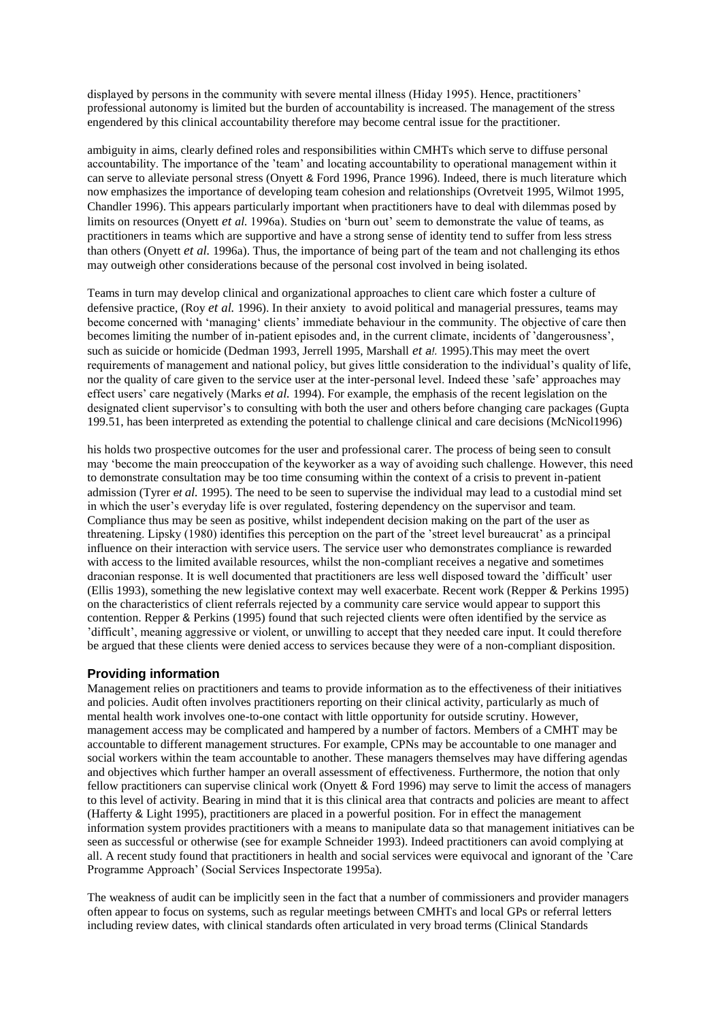displayed by persons in the community with severe mental illness (Hiday 1995). Hence, practitioners' professional autonomy is limited but the burden of accountability is increased. The management of the stress engendered by this clinical accountability therefore may become central issue for the practitioner.

ambiguity in aims, clearly defined roles and responsibilities within CMHTs which serve to diffuse personal accountability. The importance of the 'team' and locating accountability to operational management within it can serve to alleviate personal stress (Onyett & Ford 1996, Prance 1996). Indeed, there is much literature which now emphasizes the importance of developing team cohesion and relationships (Ovretveit 1995, Wilmot 1995, Chandler 1996). This appears particularly important when practitioners have to deal with dilemmas posed by limits on resources (Onyett *et al.* 1996a). Studies on 'burn out' seem to demonstrate the value of teams, as practitioners in teams which are supportive and have a strong sense of identity tend to suffer from less stress than others (Onyett *et al.* 1996a). Thus, the importance of being part of the team and not challenging its ethos may outweigh other considerations because of the personal cost involved in being isolated.

Teams in turn may develop clinical and organizational approaches to client care which foster a culture of defensive practice, (Roy *et al.* 1996). In their anxiety to avoid political and managerial pressures, teams may become concerned with 'managing' clients' immediate behaviour in the community. The objective of care then becomes limiting the number of in-patient episodes and, in the current climate, incidents of 'dangerousness', such as suicide or homicide (Dedman 1993, Jerrell 1995, Marshall *et a!.* 1995).This may meet the overt requirements of management and national policy, but gives little consideration to the individual's quality of life, nor the quality of care given to the service user at the inter-personal level. Indeed these 'safe' approaches may effect users' care negatively (Marks *et al.* 1994). For example, the emphasis of the recent legislation on the designated client supervisor's to consulting with both the user and others before changing care packages (Gupta 199.51, has been interpreted as extending the potential to challenge clinical and care decisions (McNicol1996)

his holds two prospective outcomes for the user and professional carer. The process of being seen to consult may 'become the main preoccupation of the keyworker as a way of avoiding such challenge. However, this need to demonstrate consultation may be too time consuming within the context of a crisis to prevent in-patient admission (Tyrer *et al.* 1995). The need to be seen to supervise the individual may lead to a custodial mind set in which the user's everyday life is over regulated, fostering dependency on the supervisor and team. Compliance thus may be seen as positive, whilst independent decision making on the part of the user as threatening. Lipsky (1980) identifies this perception on the part of the 'street level bureaucrat' as a principal influence on their interaction with service users. The service user who demonstrates compliance is rewarded with access to the limited available resources, whilst the non-compliant receives a negative and sometimes draconian response. It is well documented that practitioners are less well disposed toward the 'difficult' user (Ellis 1993), something the new legislative context may well exacerbate. Recent work (Repper & Perkins 1995) on the characteristics of client referrals rejected by a community care service would appear to support this contention. Repper & Perkins (1995) found that such rejected clients were often identified by the service as 'difficult', meaning aggressive or violent, or unwilling to accept that they needed care input. It could therefore be argued that these clients were denied access to services because they were of a non-compliant disposition.

#### **Providing information**

Management relies on practitioners and teams to provide information as to the effectiveness of their initiatives and policies. Audit often involves practitioners reporting on their clinical activity, particularly as much of mental health work involves one-to-one contact with little opportunity for outside scrutiny. However, management access may be complicated and hampered by a number of factors. Members of a CMHT may be accountable to different management structures. For example, CPNs may be accountable to one manager and social workers within the team accountable to another. These managers themselves may have differing agendas and objectives which further hamper an overall assessment of effectiveness. Furthermore, the notion that only fellow practitioners can supervise clinical work (Onyett & Ford 1996) may serve to limit the access of managers to this level of activity. Bearing in mind that it is this clinical area that contracts and policies are meant to affect (Hafferty & Light 1995), practitioners are placed in a powerful position. For in effect the management information system provides practitioners with a means to manipulate data so that management initiatives can be seen as successful or otherwise (see for example Schneider 1993). Indeed practitioners can avoid complying at all. A recent study found that practitioners in health and social services were equivocal and ignorant of the 'Care Programme Approach' (Social Services Inspectorate 1995a).

The weakness of audit can be implicitly seen in the fact that a number of commissioners and provider managers often appear to focus on systems, such as regular meetings between CMHTs and local GPs or referral letters including review dates, with clinical standards often articulated in very broad terms (Clinical Standards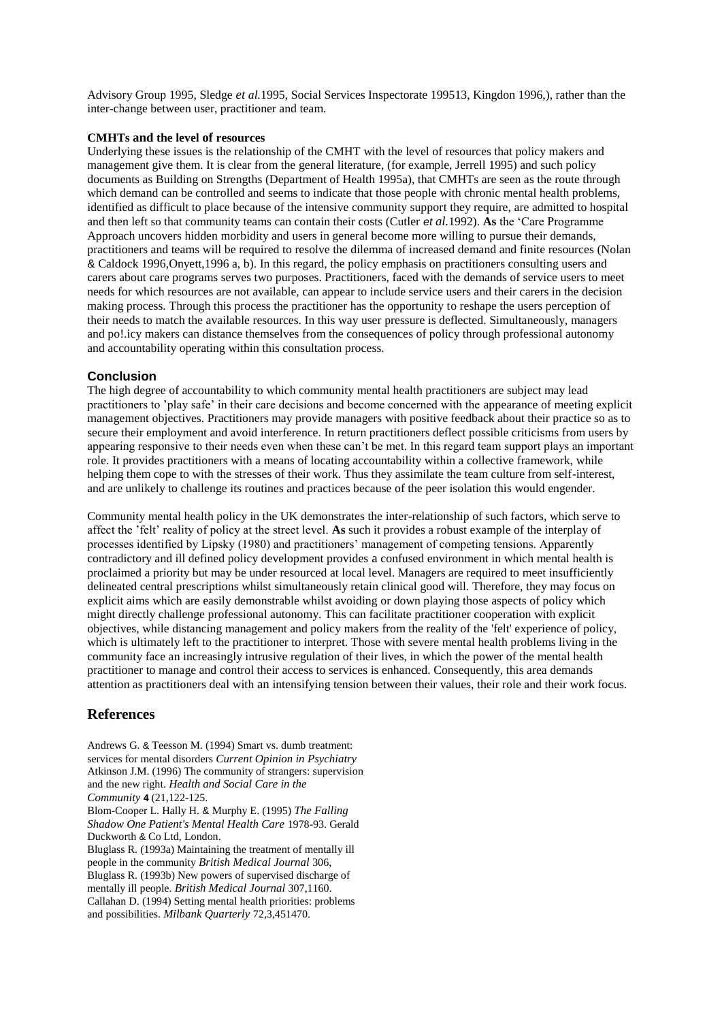Advisory Group 1995, Sledge *et al.*1995, Social Services Inspectorate 199513, Kingdon 1996,), rather than the inter-change between user, practitioner and team.

#### **CMHTs and the level of resources**

Underlying these issues is the relationship of the CMHT with the level of resources that policy makers and management give them. It is clear from the general literature, (for example, Jerrell 1995) and such policy documents as Building on Strengths (Department of Health 1995a), that CMHTs are seen as the route through which demand can be controlled and seems to indicate that those people with chronic mental health problems, identified as difficult to place because of the intensive community support they require, are admitted to hospital and then left so that community teams can contain their costs (Cutler *et al.*1992). **As** the 'Care Programme Approach uncovers hidden morbidity and users in general become more willing to pursue their demands, practitioners and teams will be required to resolve the dilemma of increased demand and finite resources (Nolan & Caldock 1996,Onyett,1996 a, b). In this regard, the policy emphasis on practitioners consulting users and carers about care programs serves two purposes. Practitioners, faced with the demands of service users to meet needs for which resources are not available, can appear to include service users and their carers in the decision making process. Through this process the practitioner has the opportunity to reshape the users perception of their needs to match the available resources. In this way user pressure is deflected. Simultaneously, managers and po!.icy makers can distance themselves from the consequences of policy through professional autonomy and accountability operating within this consultation process.

#### **Conclusion**

The high degree of accountability to which community mental health practitioners are subject may lead practitioners to 'play safe' in their care decisions and become concerned with the appearance of meeting explicit management objectives. Practitioners may provide managers with positive feedback about their practice so as to secure their employment and avoid interference. In return practitioners deflect possible criticisms from users by appearing responsive to their needs even when these can't be met. In this regard team support plays an important role. It provides practitioners with a means of locating accountability within a collective framework, while helping them cope to with the stresses of their work. Thus they assimilate the team culture from self-interest, and are unlikely to challenge its routines and practices because of the peer isolation this would engender.

Community mental health policy in the UK demonstrates the inter-relationship of such factors, which serve to affect the 'felt' reality of policy at the street level. **As** such it provides a robust example of the interplay of processes identified by Lipsky (1980) and practitioners' management of competing tensions. Apparently contradictory and ill defined policy development provides a confused environment in which mental health is proclaimed a priority but may be under resourced at local level. Managers are required to meet insufficiently delineated central prescriptions whilst simultaneously retain clinical good will. Therefore, they may focus on explicit aims which are easily demonstrable whilst avoiding or down playing those aspects of policy which might directly challenge professional autonomy. This can facilitate practitioner cooperation with explicit objectives, while distancing management and policy makers from the reality of the 'felt' experience of policy, which is ultimately left to the practitioner to interpret. Those with severe mental health problems living in the community face an increasingly intrusive regulation of their lives, in which the power of the mental health practitioner to manage and control their access to services is enhanced. Consequently, this area demands attention as practitioners deal with an intensifying tension between their values, their role and their work focus.

# **References**

Andrews G. & Teesson M. (1994) Smart vs. dumb treatment: services for mental disorders *Current Opinion in Psychiatry* Atkinson J.M. (1996) The community of strangers: supervision and the new right. *Health and Social Care in the Community* **4** (21,122-125. Blom-Cooper L. Hally H. & Murphy E. (1995) *The Falling Shadow One Patient's Mental Health Care* 1978-93. Gerald Duckworth & Co Ltd, London. Bluglass R. (1993a) Maintaining the treatment of mentally ill people in the community *British Medical Journal* 306, Bluglass R. (1993b) New powers of supervised discharge of mentally ill people. *British Medical Journal* 307,1160. Callahan D. (1994) Setting mental health priorities: problems and possibilities. *Milbank Quarterly* 72,3,451470.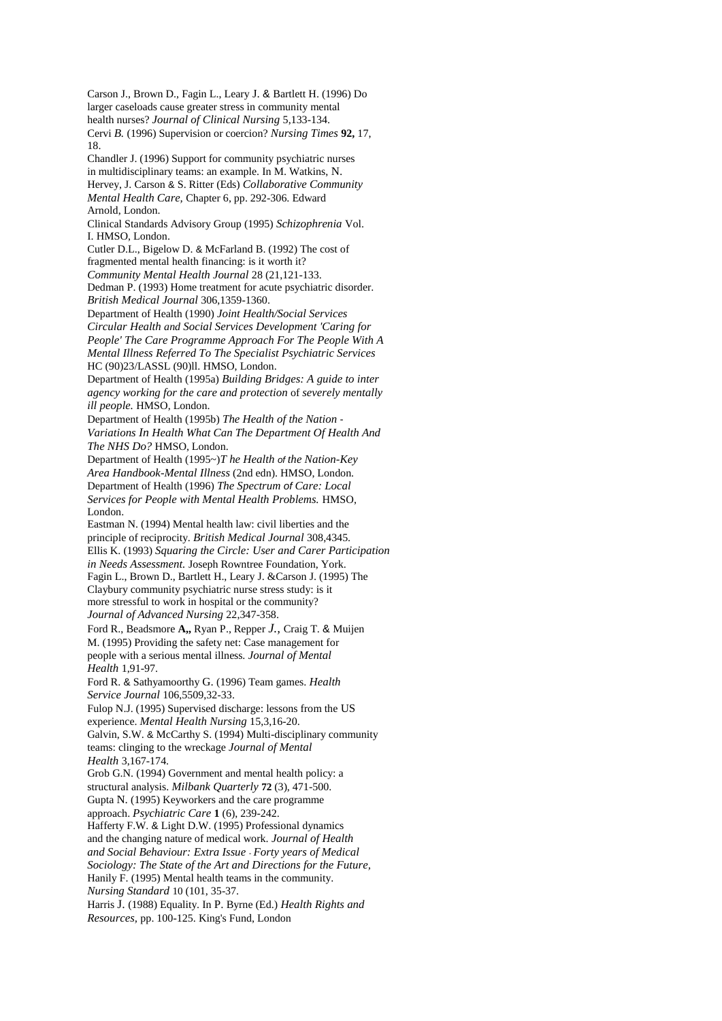Carson J., Brown D., Fagin L., Leary J. & Bartlett H. (1996) Do larger caseloads cause greater stress in community mental health nurses? *Journal of Clinical Nursing* 5,133-134. Cervi *B.* (1996) Supervision or coercion? *Nursing Times* **92,** 17, 18. Chandler J. (1996) Support for community psychiatric nurses in multidisciplinary teams: an example. In M. Watkins, N. Hervey, J. Carson & S. Ritter (Eds) *Collaborative Community Mental Health Care,* Chapter 6, pp. 292-306. Edward Arnold, London. Clinical Standards Advisory Group (1995) *Schizophrenia* Vol. I. HMSO, London. Cutler D.L., Bigelow D. & McFarland B. (1992) The cost of fragmented mental health financing: is it worth it? *Community Mental Health Journal* 28 (21,121-133. Dedman P. (1993) Home treatment for acute psychiatric disorder. *British Medical Journal* 306,1359-1360. Department of Health (1990) *Joint Health/Social Services Circular Health and Social Services Development 'Caring for People' The Care Programme Approach For The People With A Mental Illness Referred To The Specialist Psychiatric Services* HC (90)23/LASSL (90)ll. HMSO, London. Department of Health (1995a) *Building Bridges: A guide to inter agency working for the care and protection* of *severely mentally ill people.* HMSO, London. Department of Health (1995b) *The Health of the Nation* - *Variations In Health What Can The Department Of Health And The NHS Do?* HMSO, London. Department of Health (1995~)*T he Health of the Nation-Key Area Handbook-Mental Illness* (2nd edn). HMSO, London. Department of Health (1996) *The Spectrum of Care: Local Services for People with Mental Health Problems.* HMSO, London. Eastman N. (1994) Mental health law: civil liberties and the principle of reciprocity. *British Medical Journal* 308,4345. Ellis K. (1993) *Squaring the Circle: User and Carer Participation in Needs Assessment.* Joseph Rowntree Foundation, York. Fagin L., Brown D., Bartlett H., Leary J. &Carson J. (1995) The Claybury community psychiatric nurse stress study: is it more stressful to work in hospital or the community? *Journal of Advanced Nursing* 22,347-358. Ford R., Beadsmore **A,,** Ryan P., Repper *J.,* Craig T. & Muijen M. (1995) Providing the safety net: Case management for people with a serious mental illness. *Journal of Mental Health* 1,91-97. Ford R. & Sathyamoorthy G. (1996) Team games. *Health Service Journal* 106,5509,32-33. Fulop N.J. (1995) Supervised discharge: lessons from the US experience. *Mental Health Nursing* 15,3,16-20. Galvin, S.W. & McCarthy S. (1994) Multi-disciplinary community teams: clinging to the wreckage *Journal of Mental Health* 3,167-174. Grob G.N. (1994) Government and mental health policy: a structural analysis. *Milbank Quarterly* **72** (3), 471-500. Gupta N. (1995) Keyworkers and the care programme approach. *Psychiatric Care* **1** (6), 239-242. Hafferty F.W. & Light D.W. (1995) Professional dynamics and the changing nature of medical work. *Journal of Health and Social Behaviour: Extra Issue* - *Forty years of Medical Sociology: The State of the Art and Directions for the Future,* Hanily F. (1995) Mental health teams in the community. *Nursing Standard* 10 (101, 35-37. Harris J. (1988) Equality. In P. Byrne (Ed.) *Health Rights and Resources,* pp. 100-125. King's Fund, London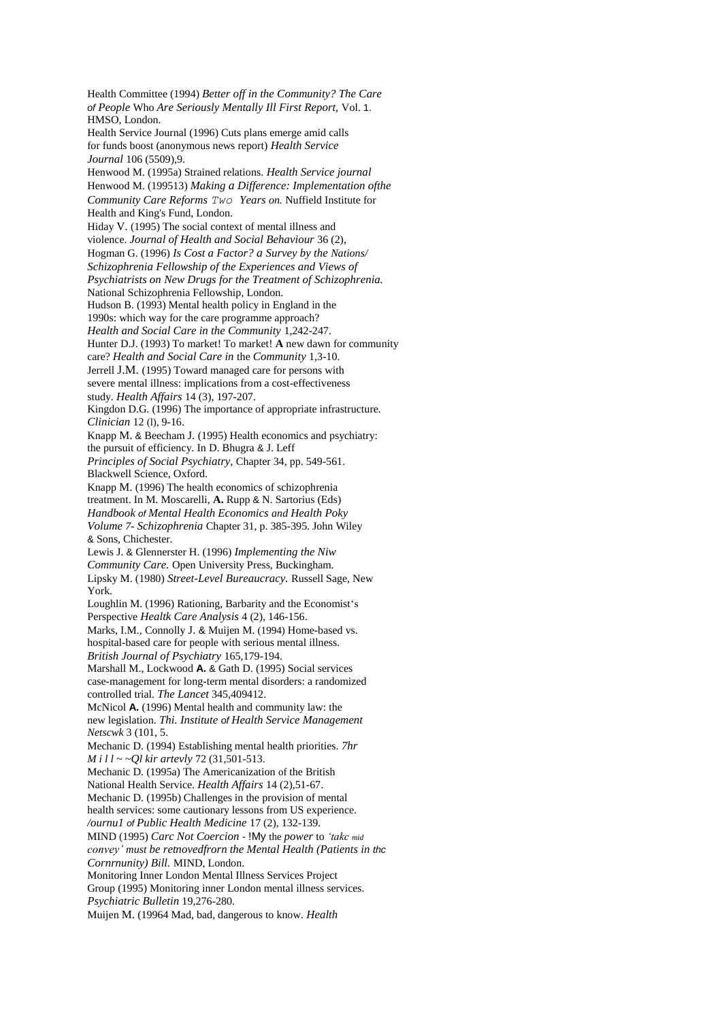Health Committee (1994) *Better off in the Community? The Care of People* Who *Are Seriously Mentally Ill First Report,* Vol. 1. HMSO, London. Health Service Journal (1996) Cuts plans emerge amid calls for funds boost (anonymous news report) *Health Service Journal* 106 (5509),9. Henwood M. (1995a) Strained relations. *Health Service journal* Henwood M. (199513) *Making a Difference: Implementation ofthe Community Care Reforms Two Years on.* Nuffield Institute for Health and King's Fund, London. Hiday V. (1995) The social context of mental illness and violence. *Journal of Health and Social Behaviour* 36 (2), Hogman G. (1996) *Is Cost a Factor? a Survey by the Nations/ Schizophrenia Fellowship of the Experiences and Views of Psychiatrists on New Drugs for the Treatment of Schizophrenia.* National Schizophrenia Fellowship, London. Hudson B. (1993) Mental health policy in England in the 1990s: which way for the care programme approach? *Health and Social Care in the Community* 1,242-247. Hunter D.J. (1993) To market! To market! **A** new dawn for community care? *Health and Social Care in* the *Community* 1,3-10. Jerrell J.M. (1995) Toward managed care for persons with severe mental illness: implications from a cost-effectiveness study. *Health Affairs* 14 (3), 197-207. Kingdon D.G. (1996) The importance of appropriate infrastructure. *Clinician* 12 (l), 9-16. Knapp M. & Beecham J. (1995) Health economics and psychiatry: the pursuit of efficiency. In D. Bhugra & J. Leff *Principles of Social Psychiatry,* Chapter 34, pp. 549-561. Blackwell Science, Oxford. Knapp M. (1996) The health economics of schizophrenia treatment. In M. Moscarelli, **A.** Rupp & N. Sartorius (Eds) *Handbook of Mental Health Economics and Health Poky Volume 7- Schizophrenia* Chapter 31, p. 385-395. John Wiley & Sons, Chichester. Lewis J. & Glennerster H. (1996) *Implementing the Niw Community Care.* Open University Press, Buckingham. Lipsky M. (1980) *Street-Level Bureaucracy.* Russell Sage, New York. Loughlin M. (1996) Rationing, Barbarity and the Economist's Perspective *Healtk Care Analysis* 4 (2), 146-156. Marks, I.M., Connolly J. & Muijen M. (1994) Home-based vs. hospital-based care for people with serious mental illness. *British Journal of Psychiatry* 165,179-194. Marshall M., Lockwood **A.** & Gath D. (1995) Social services case-management for long-term mental disorders: a randomized controlled trial. *The Lancet* 345,409412. McNicol **A.** (1996) Mental health and community law: the new legislation. *Thi. Institute of Health Service Management Netscwk* 3 (101, 5. Mechanic D. (1994) Establishing mental health priorities. *7hr M i l l ~ ~Ql kir artevly* 72 (31,501-513. Mechanic D. (1995a) The Americanization of the British National Health Service. *Health Affairs* 14 (2),51-67. Mechanic D. (1995b) Challenges in the provision of mental health services: some cautionary lessons from US experience. */ournu1 of Public Health Medicine* 17 (2), 132-139. MIND (1995) *Carc Not Coercion* - !My the *power* to *'takc mid convey' must be retnovedfrorn the Mental Health (Patients in thc Cornrnunity) Bill.* MIND, London. Monitoring Inner London Mental Illness Services Project Group (1995) Monitoring inner London mental illness services. *Psychiatric Bulletin* 19,276-280. Muijen M. (19964 Mad, bad, dangerous to know. *Health*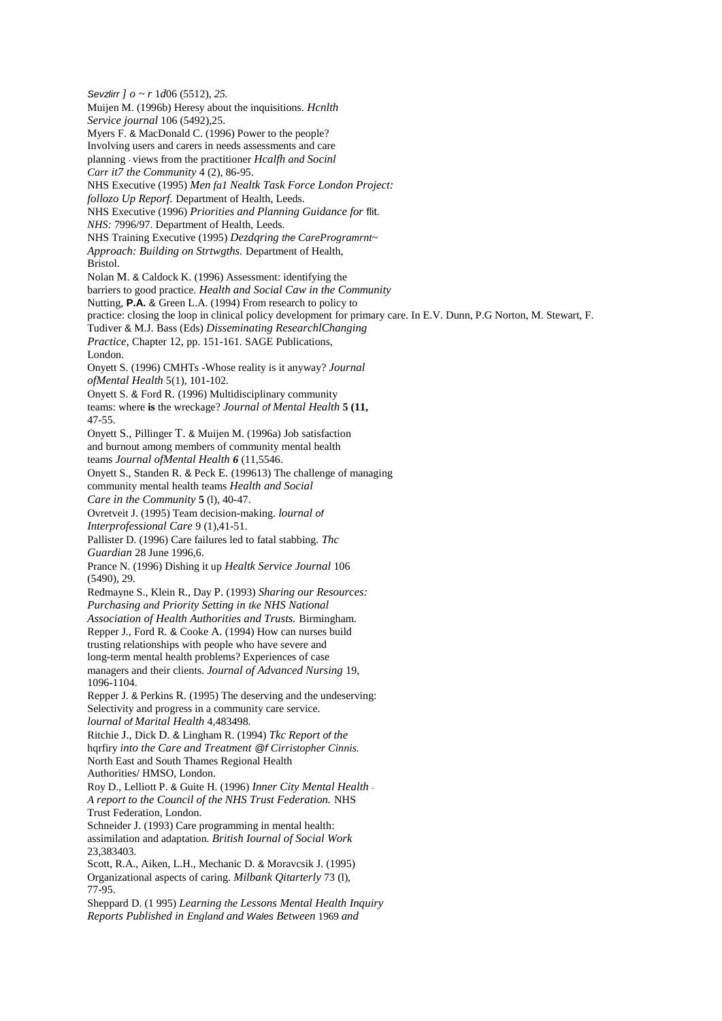*Sevzlirr ] o ~ r* 1*d*06 (5512), *25.* Muijen M. (1996b) Heresy about the inquisitions. *Hcnlth Service journal* 106 (5492),25. Myers F. & MacDonald C. (1996) Power to the people? Involving users and carers in needs assessments and care planning - views from the practitioner *Hcalfh and Socinl Carr it7 the Community* 4 (2), 86-95. NHS Executive (1995) *Men fa1 Nealtk Task Force London Project: follozo Up Reporf.* Department of Health, Leeds. NHS Executive (1996) *Priorities and Planning Guidance for* flit. *NHS:* 7996/97. Department of Health, Leeds. NHS Training Executive (1995) *Dezdqring the CareProgramrnt~ Approach: Building on Strtwgths.* Department of Health, Bristol. Nolan M. & Caldock K. (1996) Assessment: identifying the barriers to good practice. *Health and Social Caw in the Community* Nutting, **P.A.** & Green L.A. (1994) From research to policy to practice: closing the loop in clinical policy development for primary care. In E.V. Dunn, P.G Norton, M. Stewart, F. Tudiver & M.J. Bass (Eds) *Disseminating ResearchlChanging Practice,* Chapter 12, pp. 151-161. SAGE Publications, London. Onyett S. (1996) CMHTs -Whose reality is it anyway? *Journal ofMental Health* 5(1), 101-102. Onyett S. & Ford R. (1996) Multidisciplinary community teams: where **is** the wreckage? *Journal of Mental Health* **5 (11,** 47-55. Onyett S., Pillinger T. & Muijen M. (1996a) Job satisfaction and burnout among members of community mental health teams *Journal ofMental Health 6* (11,5546. Onyett S., Standen R. & Peck E. (199613) The challenge of managing community mental health teams *Health and Social Care in the Community* **5** (l), 40-47. Ovretveit J. (1995) Team decision-making. *lournal of Interprofessional Care* 9 (1),41-51. Pallister D. (1996) Care failures led to fatal stabbing. *Thc Guardian* 28 June 1996,6. Prance N. (1996) Dishing it up *Healtk Service Journal* 106 (5490), 29. Redmayne S., Klein R., Day P. (1993) *Sharing our Resources: Purchasing and Priority Setting in tke NHS National Association of Health Authorities and Trusts.* Birmingham. Repper J., Ford R. & Cooke A. (1994) How can nurses build trusting relationships with people who have severe and long-term mental health problems? Experiences of case managers and their clients. *Journal of Advanced Nursing* 19, 1096-1104. Repper J. & Perkins R. (1995) The deserving and the undeserving: Selectivity and progress in a community care service. *lournal of Marital Health* 4,483498. Ritchie J., Dick D. & Lingham R. (1994) *Tkc Report of the* hqrfiry *into the Care and Treatment @f Cirristopher Cinnis.* North East and South Thames Regional Health Authorities/ HMSO, London. Roy D., Lelliott P. & Guite H. (1996) *Inner City Mental Health* - *A report to the Council of the NHS Trust Federation.* NHS Trust Federation, London. Schneider J. (1993) Care programming in mental health: assimilation and adaptation. *British Iournal of Social Work* 23,383403. Scott, R.A., Aiken, L.H., Mechanic D. & Moravcsik J. (1995) Organizational aspects of caring. *Milbank Qitarterly* 73 (l), 77-95. Sheppard D. (1 995) *Learning the Lessons Mental Health Inquiry Reports Published in England and Wales Between* 1969 *and*